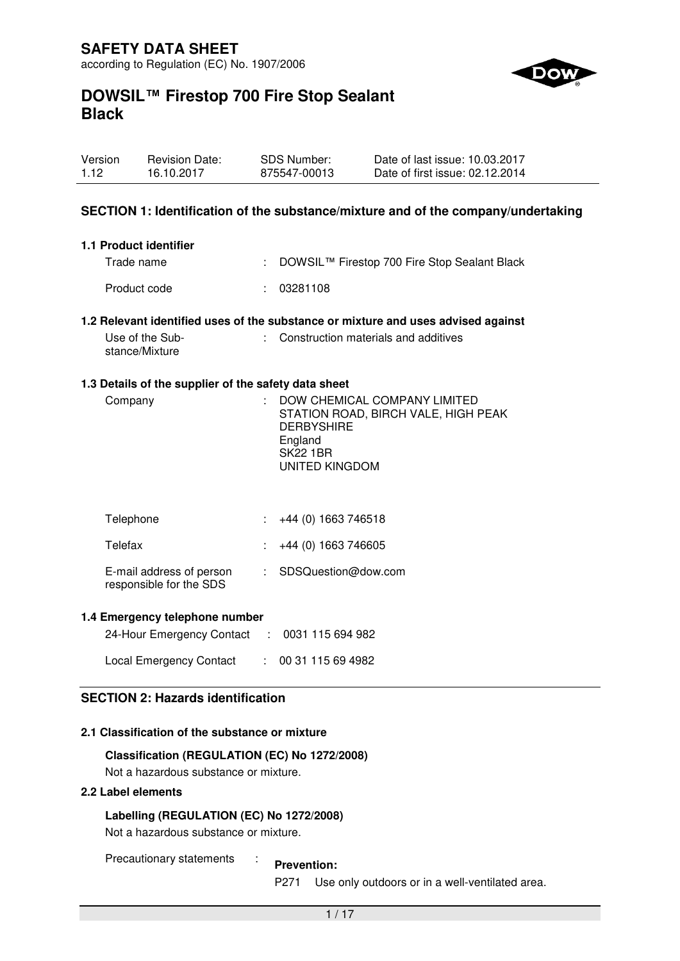

| Version | <b>Revision Date:</b> | <b>SDS Number:</b> | Date of last issue: 10.03.2017  |
|---------|-----------------------|--------------------|---------------------------------|
| 1.12    | 16.10.2017            | 875547-00013       | Date of first issue: 02.12.2014 |

### **SECTION 1: Identification of the substance/mixture and of the company/undertaking**

| 1.1 Product identifier |                                                |
|------------------------|------------------------------------------------|
| Trade name             | : DOWSIL™ Firestop 700 Fire Stop Sealant Black |
| Product code           | : 03281108                                     |

#### **1.2 Relevant identified uses of the substance or mixture and uses advised against**

| Use of the Sub- | : Construction materials and additives |
|-----------------|----------------------------------------|
| stance/Mixture  |                                        |

#### **1.3 Details of the supplier of the safety data sheet**

| Company<br><b>DERBYSHIRE</b><br>England<br><b>SK22 1BR</b><br>UNITED KINGDOM | DOW CHEMICAL COMPANY LIMITED<br>STATION ROAD, BIRCH VALE, HIGH PEAK |
|------------------------------------------------------------------------------|---------------------------------------------------------------------|
|------------------------------------------------------------------------------|---------------------------------------------------------------------|

| Telephone                                           | $\div$ +44 (0) 1663 746518 |
|-----------------------------------------------------|----------------------------|
| Telefax                                             | $\div$ +44 (0) 1663 746605 |
| E-mail address of person<br>responsible for the SDS | : SDSQuestion@dow.com      |

#### **1.4 Emergency telephone number**

| 24-Hour Emergency Contact : 0031 115 694 982 |                 |
|----------------------------------------------|-----------------|
| <b>Local Emergency Contact</b>               | : 0031115694982 |

# **SECTION 2: Hazards identification**

### **2.1 Classification of the substance or mixture**

#### **Classification (REGULATION (EC) No 1272/2008)**

Not a hazardous substance or mixture.

# **2.2 Label elements**

#### **Labelling (REGULATION (EC) No 1272/2008)**

Not a hazardous substance or mixture.

Precautionary statements : **Prevention:** 

P271 Use only outdoors or in a well-ventilated area.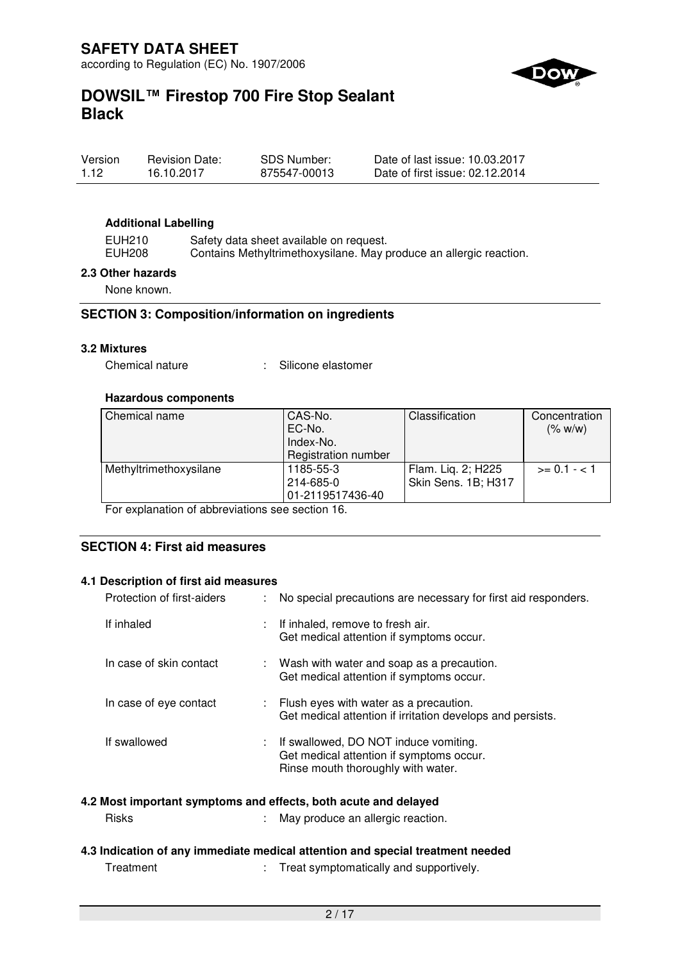

| Version | <b>Revision Date:</b> | <b>SDS Number:</b> | Date of last issue: 10.03.2017  |
|---------|-----------------------|--------------------|---------------------------------|
| 1.12    | 16.10.2017            | 875547-00013       | Date of first issue: 02.12.2014 |

#### **Additional Labelling**

EUH210 Safety data sheet available on request. EUH208 Contains Methyltrimethoxysilane. May produce an allergic reaction.

#### **2.3 Other hazards**

None known.

#### **SECTION 3: Composition/information on ingredients**

### **3.2 Mixtures**

Chemical nature : Silicone elastomer

#### **Hazardous components**

| Chemical name          | CAS-No.             | Classification      | Concentration  |
|------------------------|---------------------|---------------------|----------------|
|                        | EC-No.              |                     | (% w/w)        |
|                        | Index-No.           |                     |                |
|                        | Registration number |                     |                |
| Methyltrimethoxysilane | 1185-55-3           | Flam. Lig. 2; H225  | $>= 0.1 - < 1$ |
|                        | 214-685-0           | Skin Sens. 1B; H317 |                |
|                        | 01-2119517436-40    |                     |                |

For explanation of abbreviations see section 16.

# **SECTION 4: First aid measures**

#### **4.1 Description of first aid measures**

| Protection of first-aiders | ÷. | No special precautions are necessary for first aid responders.                                                            |
|----------------------------|----|---------------------------------------------------------------------------------------------------------------------------|
| If inhaled                 |    | : If inhaled, remove to fresh air.<br>Get medical attention if symptoms occur.                                            |
| In case of skin contact    |    | : Wash with water and soap as a precaution.<br>Get medical attention if symptoms occur.                                   |
| In case of eye contact     |    | : Flush eyes with water as a precaution.<br>Get medical attention if irritation develops and persists.                    |
| If swallowed               |    | : If swallowed, DO NOT induce vomiting.<br>Get medical attention if symptoms occur.<br>Rinse mouth thoroughly with water. |

#### **4.2 Most important symptoms and effects, both acute and delayed**

| <b>Risks</b> |  | May produce an allergic reaction. |
|--------------|--|-----------------------------------|
|--------------|--|-----------------------------------|

#### **4.3 Indication of any immediate medical attention and special treatment needed**

Treatment : Treat symptomatically and supportively.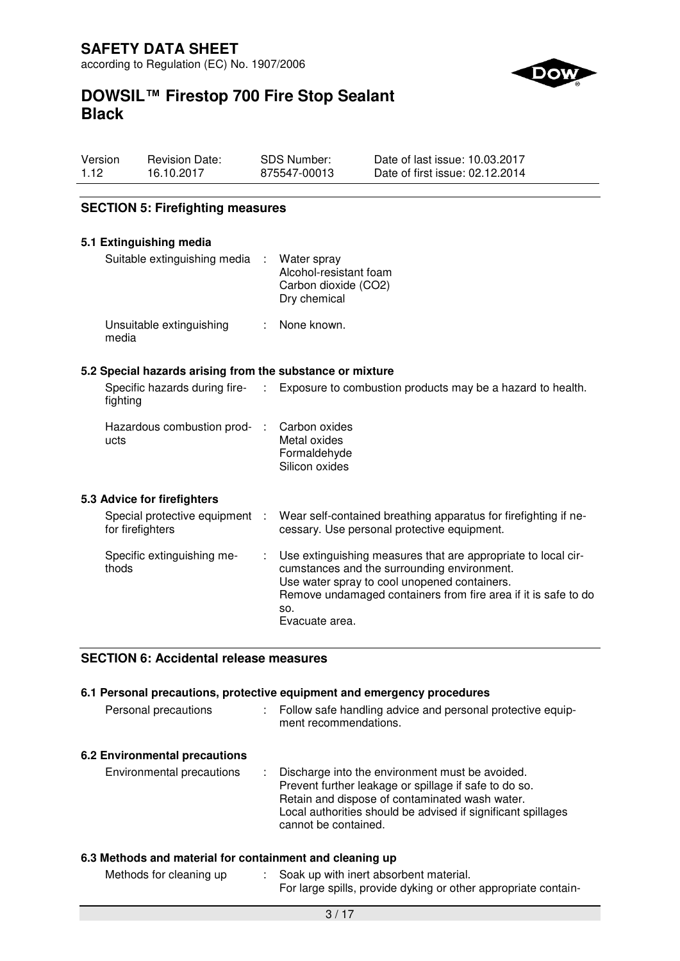

# **DOWSIL™ Firestop 700 Fire Stop Sealant Black**

| Version | <b>Revision Date:</b> | SDS Number:  | Date of last issue: 10.03.2017  |
|---------|-----------------------|--------------|---------------------------------|
| 1.12    | 16.10.2017            | 875547-00013 | Date of first issue: 02.12.2014 |

# **SECTION 5: Firefighting measures**

| 5.1 Extinguishing media                                   |                                                                                                                                                                                                                                                         |
|-----------------------------------------------------------|---------------------------------------------------------------------------------------------------------------------------------------------------------------------------------------------------------------------------------------------------------|
| Suitable extinguishing media :                            | Water spray<br>Alcohol-resistant foam<br>Carbon dioxide (CO2)<br>Dry chemical                                                                                                                                                                           |
| Unsuitable extinguishing<br>media                         | : None known.                                                                                                                                                                                                                                           |
| 5.2 Special hazards arising from the substance or mixture |                                                                                                                                                                                                                                                         |
| fighting                                                  | Specific hazards during fire- : Exposure to combustion products may be a hazard to health.                                                                                                                                                              |
| Hazardous combustion prod- :<br>ucts                      | Carbon oxides<br>Metal oxides<br>Formaldehyde<br>Silicon oxides                                                                                                                                                                                         |
| 5.3 Advice for firefighters                               |                                                                                                                                                                                                                                                         |
| Special protective equipment :<br>for firefighters        | Wear self-contained breathing apparatus for firefighting if ne-<br>cessary. Use personal protective equipment.                                                                                                                                          |
| Specific extinguishing me-<br>thods                       | Use extinguishing measures that are appropriate to local cir-<br>cumstances and the surrounding environment.<br>Use water spray to cool unopened containers.<br>Remove undamaged containers from fire area if it is safe to do<br>SO.<br>Evacuate area. |

# **SECTION 6: Accidental release measures**

# **6.1 Personal precautions, protective equipment and emergency procedures**

| Personal precautions          | : Follow safe handling advice and personal protective equip-<br>ment recommendations.                                                                                                                                                                |
|-------------------------------|------------------------------------------------------------------------------------------------------------------------------------------------------------------------------------------------------------------------------------------------------|
| 6.2 Environmental precautions |                                                                                                                                                                                                                                                      |
| Environmental precautions     | : Discharge into the environment must be avoided.<br>Prevent further leakage or spillage if safe to do so.<br>Retain and dispose of contaminated wash water.<br>Local authorities should be advised if significant spillages<br>cannot be contained. |

# **6.3 Methods and material for containment and cleaning up**

| Methods for cleaning up | Soak up with inert absorbent material.                         |
|-------------------------|----------------------------------------------------------------|
|                         | For large spills, provide dyking or other appropriate contain- |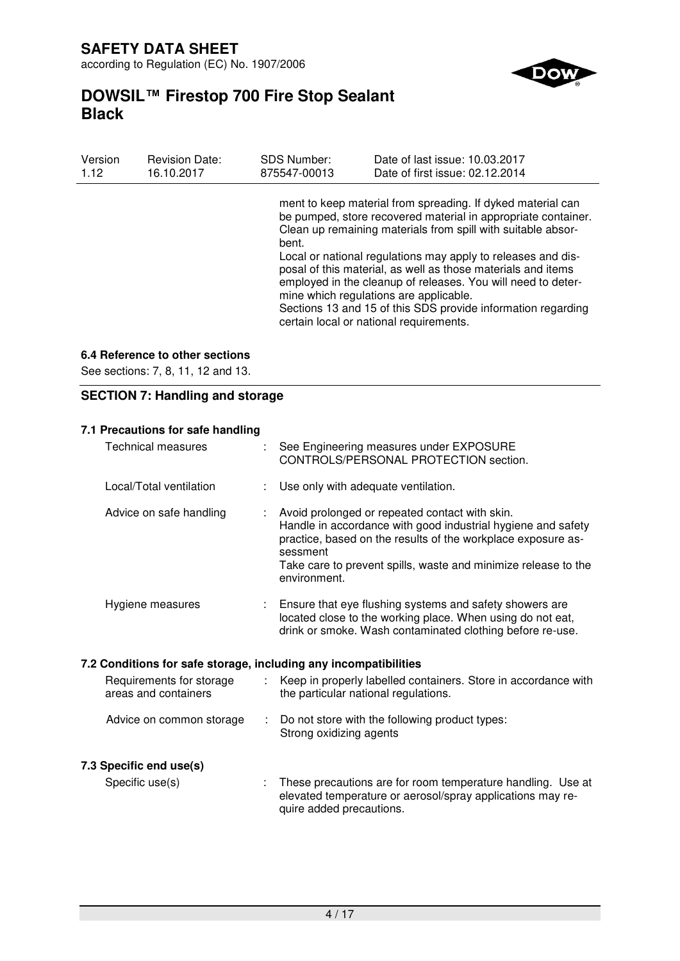**SAFETY DATA SHEET**  according to Regulation (EC) No. 1907/2006

# **DOWSIL™ Firestop 700 Fire Stop Sealant Black**

| Version | <b>Revision Date:</b> | <b>SDS Number:</b> | Date of last issue: 10.03.2017                                                                                                                                                                                                                                                                                                                                                                                                                                                                                                                    |
|---------|-----------------------|--------------------|---------------------------------------------------------------------------------------------------------------------------------------------------------------------------------------------------------------------------------------------------------------------------------------------------------------------------------------------------------------------------------------------------------------------------------------------------------------------------------------------------------------------------------------------------|
| 1.12    | 16.10.2017            | 875547-00013       | Date of first issue: 02.12.2014                                                                                                                                                                                                                                                                                                                                                                                                                                                                                                                   |
|         |                       | bent.              | ment to keep material from spreading. If dyked material can<br>be pumped, store recovered material in appropriate container.<br>Clean up remaining materials from spill with suitable absor-<br>Local or national regulations may apply to releases and dis-<br>posal of this material, as well as those materials and items<br>employed in the cleanup of releases. You will need to deter-<br>mine which regulations are applicable.<br>Sections 13 and 15 of this SDS provide information regarding<br>certain local or national requirements. |

# **6.4 Reference to other sections**

See sections: 7, 8, 11, 12 and 13.

# **SECTION 7: Handling and storage**

### **7.1 Precautions for safe handling**

| <b>Technical measures</b>                                        |                | See Engineering measures under EXPOSURE<br>CONTROLS/PERSONAL PROTECTION section.                                                                                                                                                                                             |
|------------------------------------------------------------------|----------------|------------------------------------------------------------------------------------------------------------------------------------------------------------------------------------------------------------------------------------------------------------------------------|
| Local/Total ventilation                                          |                | Use only with adequate ventilation.                                                                                                                                                                                                                                          |
| Advice on safe handling                                          |                | Avoid prolonged or repeated contact with skin.<br>Handle in accordance with good industrial hygiene and safety<br>practice, based on the results of the workplace exposure as-<br>sessment<br>Take care to prevent spills, waste and minimize release to the<br>environment. |
| Hygiene measures                                                 |                | Ensure that eye flushing systems and safety showers are<br>located close to the working place. When using do not eat,<br>drink or smoke. Wash contaminated clothing before re-use.                                                                                           |
| 7.2 Conditions for safe storage, including any incompatibilities |                |                                                                                                                                                                                                                                                                              |
| Requirements for storage<br>areas and containers                 | $\mathbb{R}^n$ | Keep in properly labelled containers. Store in accordance with<br>the particular national regulations.                                                                                                                                                                       |
| Advice on common storage                                         |                | Do not store with the following product types:<br>Strong oxidizing agents                                                                                                                                                                                                    |
| 7.3 Specific end use(s)                                          |                |                                                                                                                                                                                                                                                                              |
| Specific use(s)                                                  |                | These precautions are for room temperature handling. Use at<br>elevated temperature or aerosol/spray applications may re-<br>quire added precautions.                                                                                                                        |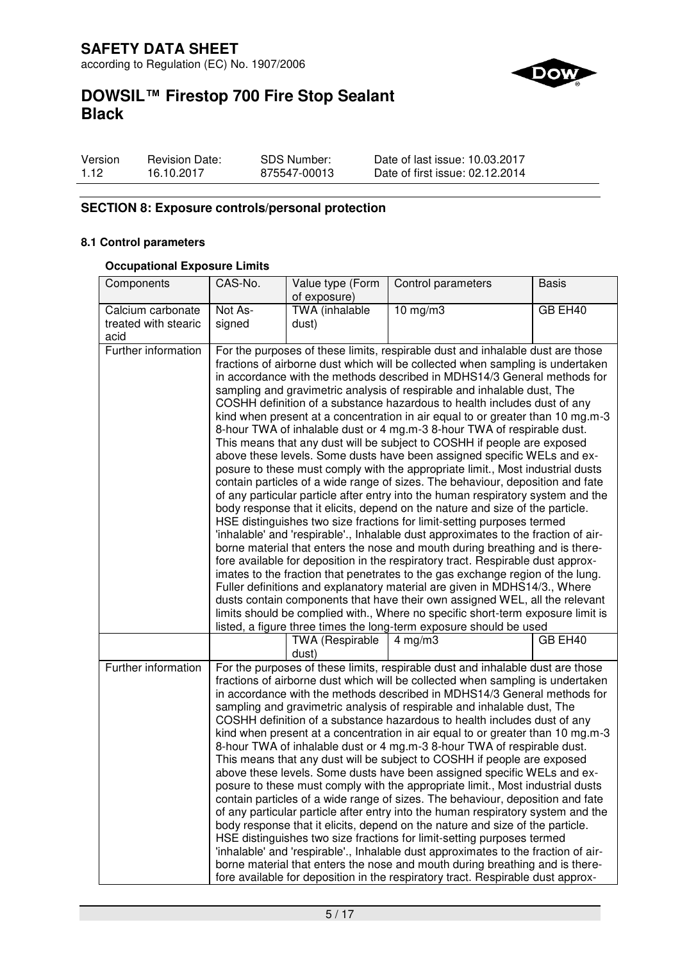

# **DOWSIL™ Firestop 700 Fire Stop Sealant Black**

| Version | <b>Revision Date:</b> | <b>SDS Number:</b> | Date of last issue: 10.03.2017  |
|---------|-----------------------|--------------------|---------------------------------|
| 1.12    | 16.10.2017            | 875547-00013       | Date of first issue: 02.12.2014 |

# **SECTION 8: Exposure controls/personal protection**

#### **8.1 Control parameters**

### **Occupational Exposure Limits**

| Components                   | CAS-No.                                                                                                                                                                                                                                                                                                                                                                                                                                                                                                                                                                                                                                                                                                                                                                                                                                                                                                                                                                                                                                                                                                                                                                                                                                                                                                                                                                                                                                                                                                                                                                                                                                                                                                                             | Value type (Form<br>of exposure) | Control parameters                                                                                                                                                                                                                                                                                                                                                                                                                                                                                                                                                                                                                                                                                                                                                                                                                                                                                                                                                                                                                                                                                                                                                                                                                                                                                                                                                                                 | <b>Basis</b> |
|------------------------------|-------------------------------------------------------------------------------------------------------------------------------------------------------------------------------------------------------------------------------------------------------------------------------------------------------------------------------------------------------------------------------------------------------------------------------------------------------------------------------------------------------------------------------------------------------------------------------------------------------------------------------------------------------------------------------------------------------------------------------------------------------------------------------------------------------------------------------------------------------------------------------------------------------------------------------------------------------------------------------------------------------------------------------------------------------------------------------------------------------------------------------------------------------------------------------------------------------------------------------------------------------------------------------------------------------------------------------------------------------------------------------------------------------------------------------------------------------------------------------------------------------------------------------------------------------------------------------------------------------------------------------------------------------------------------------------------------------------------------------------|----------------------------------|----------------------------------------------------------------------------------------------------------------------------------------------------------------------------------------------------------------------------------------------------------------------------------------------------------------------------------------------------------------------------------------------------------------------------------------------------------------------------------------------------------------------------------------------------------------------------------------------------------------------------------------------------------------------------------------------------------------------------------------------------------------------------------------------------------------------------------------------------------------------------------------------------------------------------------------------------------------------------------------------------------------------------------------------------------------------------------------------------------------------------------------------------------------------------------------------------------------------------------------------------------------------------------------------------------------------------------------------------------------------------------------------------|--------------|
| Calcium carbonate            | Not As-                                                                                                                                                                                                                                                                                                                                                                                                                                                                                                                                                                                                                                                                                                                                                                                                                                                                                                                                                                                                                                                                                                                                                                                                                                                                                                                                                                                                                                                                                                                                                                                                                                                                                                                             | TWA (inhalable                   | $10$ mg/m $3$                                                                                                                                                                                                                                                                                                                                                                                                                                                                                                                                                                                                                                                                                                                                                                                                                                                                                                                                                                                                                                                                                                                                                                                                                                                                                                                                                                                      | GB EH40      |
| treated with stearic<br>acid | signed                                                                                                                                                                                                                                                                                                                                                                                                                                                                                                                                                                                                                                                                                                                                                                                                                                                                                                                                                                                                                                                                                                                                                                                                                                                                                                                                                                                                                                                                                                                                                                                                                                                                                                                              | dust)                            |                                                                                                                                                                                                                                                                                                                                                                                                                                                                                                                                                                                                                                                                                                                                                                                                                                                                                                                                                                                                                                                                                                                                                                                                                                                                                                                                                                                                    |              |
| Further information          | For the purposes of these limits, respirable dust and inhalable dust are those<br>fractions of airborne dust which will be collected when sampling is undertaken<br>in accordance with the methods described in MDHS14/3 General methods for<br>sampling and gravimetric analysis of respirable and inhalable dust, The<br>COSHH definition of a substance hazardous to health includes dust of any<br>kind when present at a concentration in air equal to or greater than 10 mg.m-3<br>8-hour TWA of inhalable dust or 4 mg.m-3 8-hour TWA of respirable dust.<br>This means that any dust will be subject to COSHH if people are exposed<br>above these levels. Some dusts have been assigned specific WELs and ex-<br>posure to these must comply with the appropriate limit., Most industrial dusts<br>contain particles of a wide range of sizes. The behaviour, deposition and fate<br>of any particular particle after entry into the human respiratory system and the<br>body response that it elicits, depend on the nature and size of the particle.<br>HSE distinguishes two size fractions for limit-setting purposes termed<br>'inhalable' and 'respirable'., Inhalable dust approximates to the fraction of air-<br>borne material that enters the nose and mouth during breathing and is there-<br>fore available for deposition in the respiratory tract. Respirable dust approx-<br>imates to the fraction that penetrates to the gas exchange region of the lung.<br>Fuller definitions and explanatory material are given in MDHS14/3., Where<br>dusts contain components that have their own assigned WEL, all the relevant<br>limits should be complied with., Where no specific short-term exposure limit is |                                  |                                                                                                                                                                                                                                                                                                                                                                                                                                                                                                                                                                                                                                                                                                                                                                                                                                                                                                                                                                                                                                                                                                                                                                                                                                                                                                                                                                                                    |              |
|                              |                                                                                                                                                                                                                                                                                                                                                                                                                                                                                                                                                                                                                                                                                                                                                                                                                                                                                                                                                                                                                                                                                                                                                                                                                                                                                                                                                                                                                                                                                                                                                                                                                                                                                                                                     | <b>TWA (Respirable</b><br>dust)  | listed, a figure three times the long-term exposure should be used<br>$4$ mg/m $3$                                                                                                                                                                                                                                                                                                                                                                                                                                                                                                                                                                                                                                                                                                                                                                                                                                                                                                                                                                                                                                                                                                                                                                                                                                                                                                                 | GB EH40      |
| Further information          |                                                                                                                                                                                                                                                                                                                                                                                                                                                                                                                                                                                                                                                                                                                                                                                                                                                                                                                                                                                                                                                                                                                                                                                                                                                                                                                                                                                                                                                                                                                                                                                                                                                                                                                                     |                                  | For the purposes of these limits, respirable dust and inhalable dust are those<br>fractions of airborne dust which will be collected when sampling is undertaken<br>in accordance with the methods described in MDHS14/3 General methods for<br>sampling and gravimetric analysis of respirable and inhalable dust, The<br>COSHH definition of a substance hazardous to health includes dust of any<br>kind when present at a concentration in air equal to or greater than 10 mg.m-3<br>8-hour TWA of inhalable dust or 4 mg.m-3 8-hour TWA of respirable dust.<br>This means that any dust will be subject to COSHH if people are exposed<br>above these levels. Some dusts have been assigned specific WELs and ex-<br>posure to these must comply with the appropriate limit., Most industrial dusts<br>contain particles of a wide range of sizes. The behaviour, deposition and fate<br>of any particular particle after entry into the human respiratory system and the<br>body response that it elicits, depend on the nature and size of the particle.<br>HSE distinguishes two size fractions for limit-setting purposes termed<br>'inhalable' and 'respirable'., Inhalable dust approximates to the fraction of air-<br>borne material that enters the nose and mouth during breathing and is there-<br>fore available for deposition in the respiratory tract. Respirable dust approx- |              |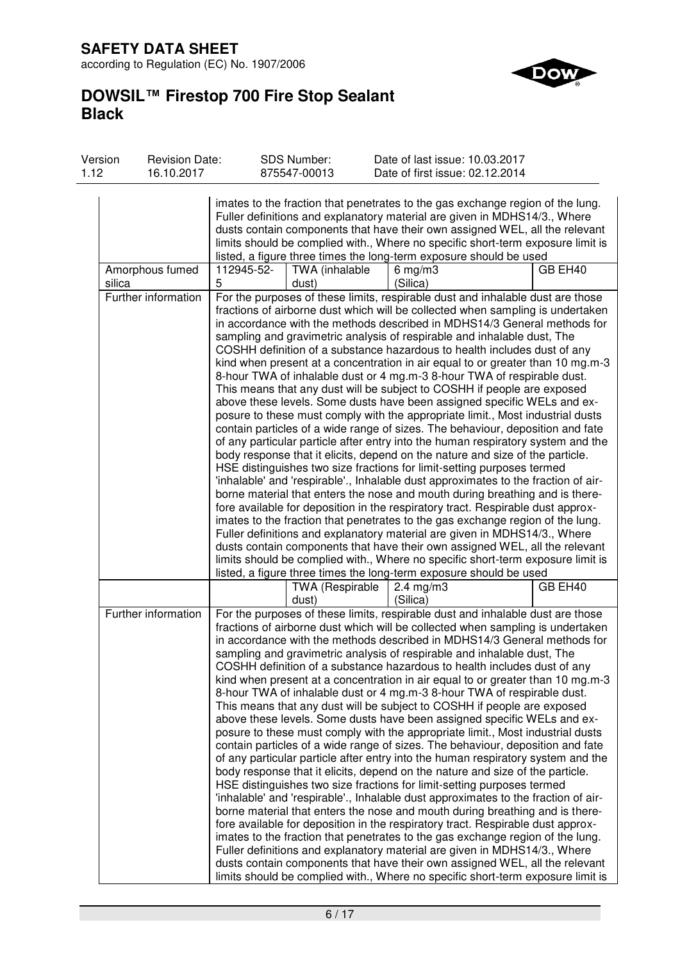# **SAFETY DATA SHEET**

according to Regulation (EC) No. 1907/2006



# **DOWSIL™ Firestop 700 Fire Stop Sealant Black**

| Version<br>1.12 | <b>Revision Date:</b><br>16.10.2017 |                 | <b>SDS Number:</b><br>875547-00013 | Date of last issue: 10.03.2017<br>Date of first issue: 02.12.2014                                                                                                                                                                                                                                                                                                                                                                                                                                                                                                                                                                                                                                                                                                                                                                                                                                                                                                                                                                                                                                                                                                                                                                                                                                                                                                                                                                                                                                                                                                                                                                                                                                                                                                                                         |         |
|-----------------|-------------------------------------|-----------------|------------------------------------|-----------------------------------------------------------------------------------------------------------------------------------------------------------------------------------------------------------------------------------------------------------------------------------------------------------------------------------------------------------------------------------------------------------------------------------------------------------------------------------------------------------------------------------------------------------------------------------------------------------------------------------------------------------------------------------------------------------------------------------------------------------------------------------------------------------------------------------------------------------------------------------------------------------------------------------------------------------------------------------------------------------------------------------------------------------------------------------------------------------------------------------------------------------------------------------------------------------------------------------------------------------------------------------------------------------------------------------------------------------------------------------------------------------------------------------------------------------------------------------------------------------------------------------------------------------------------------------------------------------------------------------------------------------------------------------------------------------------------------------------------------------------------------------------------------------|---------|
|                 |                                     |                 |                                    |                                                                                                                                                                                                                                                                                                                                                                                                                                                                                                                                                                                                                                                                                                                                                                                                                                                                                                                                                                                                                                                                                                                                                                                                                                                                                                                                                                                                                                                                                                                                                                                                                                                                                                                                                                                                           |         |
|                 |                                     |                 |                                    | imates to the fraction that penetrates to the gas exchange region of the lung.<br>Fuller definitions and explanatory material are given in MDHS14/3., Where<br>dusts contain components that have their own assigned WEL, all the relevant<br>limits should be complied with., Where no specific short-term exposure limit is                                                                                                                                                                                                                                                                                                                                                                                                                                                                                                                                                                                                                                                                                                                                                                                                                                                                                                                                                                                                                                                                                                                                                                                                                                                                                                                                                                                                                                                                             |         |
|                 |                                     |                 |                                    | listed, a figure three times the long-term exposure should be used                                                                                                                                                                                                                                                                                                                                                                                                                                                                                                                                                                                                                                                                                                                                                                                                                                                                                                                                                                                                                                                                                                                                                                                                                                                                                                                                                                                                                                                                                                                                                                                                                                                                                                                                        |         |
| silica          | Amorphous fumed                     | 112945-52-<br>5 | TWA (inhalable<br>dust)            | $6$ mg/m $3$<br>(Silica)                                                                                                                                                                                                                                                                                                                                                                                                                                                                                                                                                                                                                                                                                                                                                                                                                                                                                                                                                                                                                                                                                                                                                                                                                                                                                                                                                                                                                                                                                                                                                                                                                                                                                                                                                                                  | GB EH40 |
|                 | Further information                 |                 |                                    | For the purposes of these limits, respirable dust and inhalable dust are those<br>fractions of airborne dust which will be collected when sampling is undertaken<br>in accordance with the methods described in MDHS14/3 General methods for<br>sampling and gravimetric analysis of respirable and inhalable dust, The<br>COSHH definition of a substance hazardous to health includes dust of any<br>kind when present at a concentration in air equal to or greater than 10 mg.m-3<br>8-hour TWA of inhalable dust or 4 mg.m-3 8-hour TWA of respirable dust.<br>This means that any dust will be subject to COSHH if people are exposed<br>above these levels. Some dusts have been assigned specific WELs and ex-<br>posure to these must comply with the appropriate limit., Most industrial dusts<br>contain particles of a wide range of sizes. The behaviour, deposition and fate<br>of any particular particle after entry into the human respiratory system and the<br>body response that it elicits, depend on the nature and size of the particle.<br>HSE distinguishes two size fractions for limit-setting purposes termed<br>'inhalable' and 'respirable'., Inhalable dust approximates to the fraction of air-<br>borne material that enters the nose and mouth during breathing and is there-<br>fore available for deposition in the respiratory tract. Respirable dust approx-<br>imates to the fraction that penetrates to the gas exchange region of the lung.<br>Fuller definitions and explanatory material are given in MDHS14/3., Where<br>dusts contain components that have their own assigned WEL, all the relevant<br>limits should be complied with., Where no specific short-term exposure limit is<br>listed, a figure three times the long-term exposure should be used |         |
|                 |                                     |                 | <b>TWA (Respirable</b><br>dust)    | $2.4 \text{ mg/m}$ 3<br>(Silica)                                                                                                                                                                                                                                                                                                                                                                                                                                                                                                                                                                                                                                                                                                                                                                                                                                                                                                                                                                                                                                                                                                                                                                                                                                                                                                                                                                                                                                                                                                                                                                                                                                                                                                                                                                          | GB EH40 |
|                 | Further information                 |                 |                                    | For the purposes of these limits, respirable dust and inhalable dust are those<br>fractions of airborne dust which will be collected when sampling is undertaken<br>in accordance with the methods described in MDHS14/3 General methods for<br>sampling and gravimetric analysis of respirable and inhalable dust, The<br>COSHH definition of a substance hazardous to health includes dust of any<br>kind when present at a concentration in air equal to or greater than 10 mg.m-3<br>8-hour TWA of inhalable dust or 4 mg.m-3 8-hour TWA of respirable dust.<br>This means that any dust will be subject to COSHH if people are exposed<br>above these levels. Some dusts have been assigned specific WELs and ex-<br>posure to these must comply with the appropriate limit., Most industrial dusts<br>contain particles of a wide range of sizes. The behaviour, deposition and fate<br>of any particular particle after entry into the human respiratory system and the<br>body response that it elicits, depend on the nature and size of the particle.<br>HSE distinguishes two size fractions for limit-setting purposes termed<br>'inhalable' and 'respirable'., Inhalable dust approximates to the fraction of air-<br>borne material that enters the nose and mouth during breathing and is there-<br>fore available for deposition in the respiratory tract. Respirable dust approx-<br>imates to the fraction that penetrates to the gas exchange region of the lung.<br>Fuller definitions and explanatory material are given in MDHS14/3., Where<br>dusts contain components that have their own assigned WEL, all the relevant<br>limits should be complied with., Where no specific short-term exposure limit is                                                                       |         |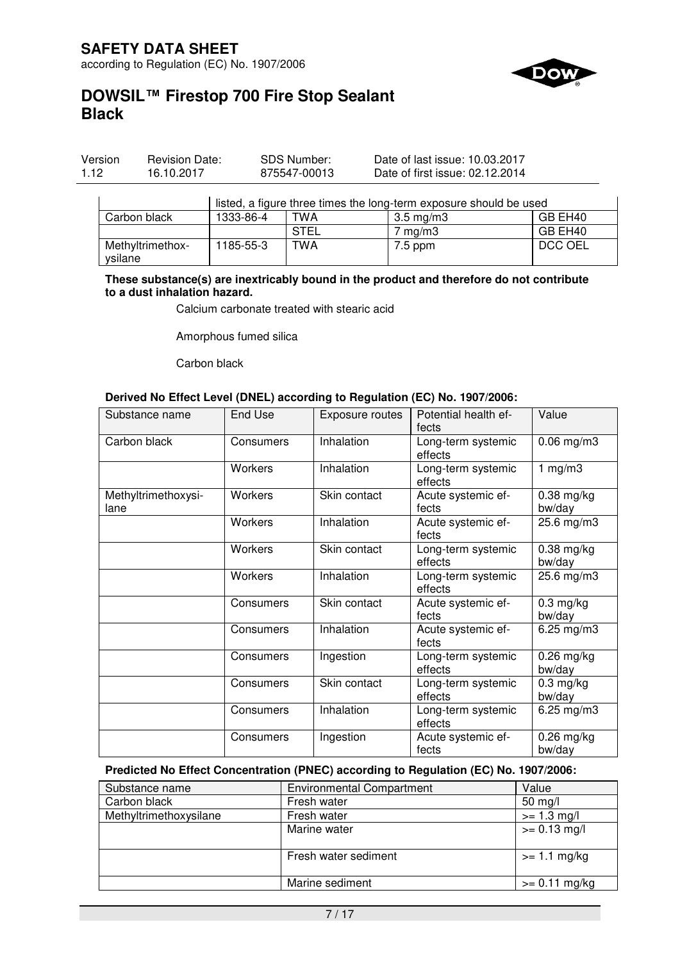

| Version | <b>Revision Date:</b> | SDS Number:  | Date of last issue: 10.03.2017  |
|---------|-----------------------|--------------|---------------------------------|
| 1.12    | 16.10.2017            | 875547-00013 | Date of first issue: 02.12.2014 |

|                             | listed, a figure three times the long-term exposure should be used |             |                    |         |  |
|-----------------------------|--------------------------------------------------------------------|-------------|--------------------|---------|--|
| Carbon black                | 1333-86-4                                                          | TWA         | $3.5 \text{ mg/m}$ | GB EH40 |  |
|                             |                                                                    | <b>STEL</b> | $7 \text{ ma/m}$ 3 | GB EH40 |  |
| Methyltrimethox-<br>vsilane | 1185-55-3                                                          | TWA         | $7.5$ ppm          | DCC OEL |  |

**These substance(s) are inextricably bound in the product and therefore do not contribute to a dust inhalation hazard.** 

Calcium carbonate treated with stearic acid

Amorphous fumed silica

Carbon black

#### **Derived No Effect Level (DNEL) according to Regulation (EC) No. 1907/2006:**

| Substance name              | End Use        | Exposure routes | Potential health ef-<br>fects | Value                  |
|-----------------------------|----------------|-----------------|-------------------------------|------------------------|
| Carbon black                | Consumers      | Inhalation      | Long-term systemic<br>effects | $0.06$ mg/m $3$        |
|                             | <b>Workers</b> | Inhalation      | Long-term systemic<br>effects | 1 $mg/m3$              |
| Methyltrimethoxysi-<br>lane | <b>Workers</b> | Skin contact    | Acute systemic ef-<br>fects   | $0.38$ mg/kg<br>bw/day |
|                             | Workers        | Inhalation      | Acute systemic ef-<br>fects   | 25.6 mg/m3             |
|                             | <b>Workers</b> | Skin contact    | Long-term systemic<br>effects | $0.38$ mg/kg<br>bw/day |
|                             | Workers        | Inhalation      | Long-term systemic<br>effects | 25.6 mg/m3             |
|                             | Consumers      | Skin contact    | Acute systemic ef-<br>fects   | $0.3$ mg/kg<br>bw/day  |
|                             | Consumers      | Inhalation      | Acute systemic ef-<br>fects   | $6.25$ mg/m $3$        |
|                             | Consumers      | Ingestion       | Long-term systemic<br>effects | $0.26$ mg/kg<br>bw/day |
|                             | Consumers      | Skin contact    | Long-term systemic<br>effects | $0.3$ mg/kg<br>bw/day  |
|                             | Consumers      | Inhalation      | Long-term systemic<br>effects | 6.25 mg/m3             |
|                             | Consumers      | Ingestion       | Acute systemic ef-<br>fects   | $0.26$ mg/kg<br>bw/day |

# **Predicted No Effect Concentration (PNEC) according to Regulation (EC) No. 1907/2006:**

| Substance name         | <b>Environmental Compartment</b> | Value             |
|------------------------|----------------------------------|-------------------|
| Carbon black           | Fresh water                      | $50 \text{ mg/l}$ |
| Methyltrimethoxysilane | Fresh water                      | $>= 1.3$ mg/l     |
|                        | Marine water                     | $>= 0.13$ mg/l    |
|                        |                                  |                   |
|                        | Fresh water sediment             | $>= 1.1$ mg/kg    |
|                        |                                  |                   |
|                        | Marine sediment                  | $>= 0.11$ mg/kg   |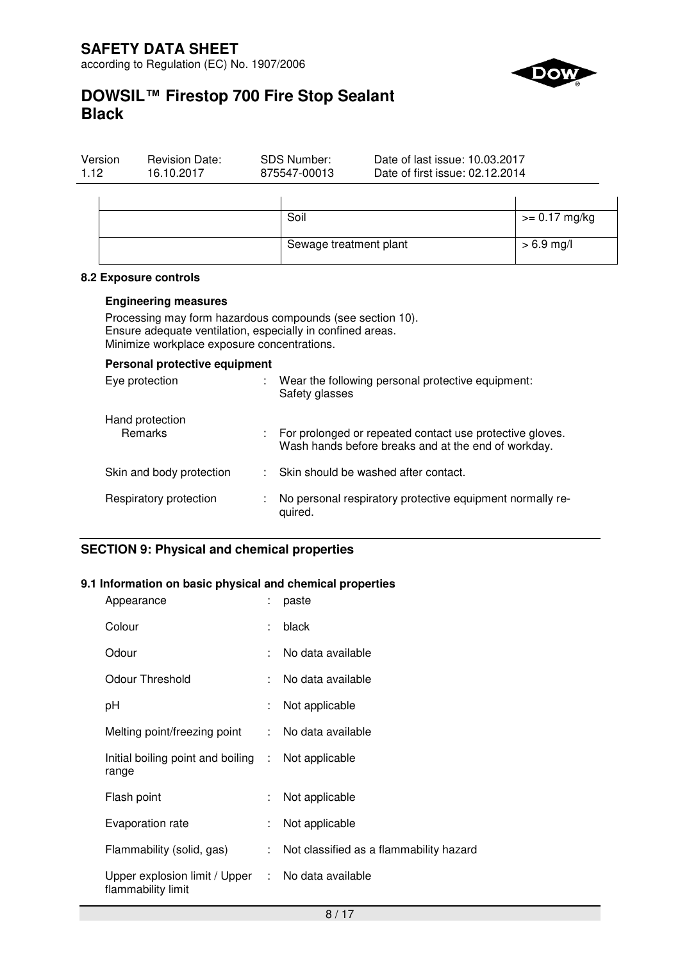

# **DOWSIL™ Firestop 700 Fire Stop Sealant Black**

| Version<br>1.12 | <b>Revision Date:</b><br>16.10.2017 | SDS Number:<br>875547-00013 | Date of last issue: 10.03.2017<br>Date of first issue: 02.12.2014 |                 |
|-----------------|-------------------------------------|-----------------------------|-------------------------------------------------------------------|-----------------|
|                 |                                     | Soil                        |                                                                   | $>= 0.17$ mg/kg |
|                 |                                     | Sewage treatment plant      |                                                                   | $> 6.9$ mg/l    |

#### **8.2 Exposure controls**

#### **Engineering measures**

Processing may form hazardous compounds (see section 10). Ensure adequate ventilation, especially in confined areas. Minimize workplace exposure concentrations.

| Personal protective equipment     |  |                                                                                                                   |  |  |  |  |
|-----------------------------------|--|-------------------------------------------------------------------------------------------------------------------|--|--|--|--|
| Eye protection                    |  | Wear the following personal protective equipment:<br>Safety glasses                                               |  |  |  |  |
| Hand protection<br><b>Remarks</b> |  | : For prolonged or repeated contact use protective gloves.<br>Wash hands before breaks and at the end of workday. |  |  |  |  |
| Skin and body protection          |  | : Skin should be washed after contact.                                                                            |  |  |  |  |
| Respiratory protection            |  | No personal respiratory protective equipment normally re-<br>quired.                                              |  |  |  |  |

# **SECTION 9: Physical and chemical properties**

#### **9.1 Information on basic physical and chemical properties**

| Appearance                                                              |    | paste                                   |
|-------------------------------------------------------------------------|----|-----------------------------------------|
| Colour                                                                  |    | black                                   |
| Odour                                                                   | t. | No data available                       |
| <b>Odour Threshold</b>                                                  | t. | No data available                       |
| рH                                                                      | ÷. | Not applicable                          |
| Melting point/freezing point                                            | ÷. | No data available                       |
| Initial boiling point and boiling : Not applicable<br>range             |    |                                         |
| Flash point                                                             | t. | Not applicable                          |
| Evaporation rate                                                        | ÷  | Not applicable                          |
| Flammability (solid, gas)                                               | t. | Not classified as a flammability hazard |
| Upper explosion limit / Upper : No data available<br>flammability limit |    |                                         |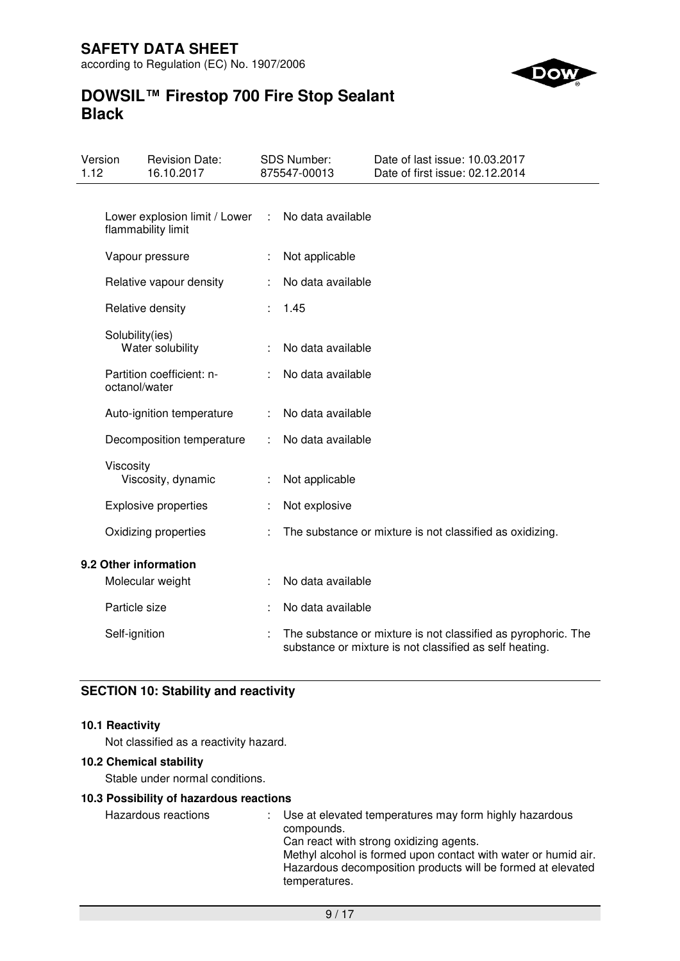

# **DOWSIL™ Firestop 700 Fire Stop Sealant Black**

| Version<br>1.12 |                 | <b>Revision Date:</b><br>16.10.2017                 |   | SDS Number:<br>875547-00013 | Date of last issue: 10.03.2017<br>Date of first issue: 02.12.2014                                                        |
|-----------------|-----------------|-----------------------------------------------------|---|-----------------------------|--------------------------------------------------------------------------------------------------------------------------|
|                 |                 |                                                     |   |                             |                                                                                                                          |
|                 |                 | Lower explosion limit / Lower<br>flammability limit | ÷ | No data available           |                                                                                                                          |
|                 |                 | Vapour pressure                                     |   | Not applicable              |                                                                                                                          |
|                 |                 | Relative vapour density                             |   | No data available           |                                                                                                                          |
|                 |                 | Relative density                                    |   | 1.45                        |                                                                                                                          |
|                 | Solubility(ies) | Water solubility                                    |   | No data available           |                                                                                                                          |
|                 | octanol/water   | Partition coefficient: n-                           |   | No data available           |                                                                                                                          |
|                 |                 | Auto-ignition temperature                           |   | No data available           |                                                                                                                          |
|                 |                 | Decomposition temperature                           |   | No data available           |                                                                                                                          |
|                 | Viscosity       | Viscosity, dynamic                                  |   | Not applicable              |                                                                                                                          |
|                 |                 | <b>Explosive properties</b>                         |   | Not explosive               |                                                                                                                          |
|                 |                 | Oxidizing properties                                |   |                             | The substance or mixture is not classified as oxidizing.                                                                 |
|                 |                 | 9.2 Other information                               |   |                             |                                                                                                                          |
|                 |                 | Molecular weight                                    |   | No data available           |                                                                                                                          |
|                 | Particle size   |                                                     |   | No data available           |                                                                                                                          |
|                 | Self-ignition   |                                                     |   |                             | The substance or mixture is not classified as pyrophoric. The<br>substance or mixture is not classified as self heating. |

# **SECTION 10: Stability and reactivity**

### **10.1 Reactivity**

Not classified as a reactivity hazard.

### **10.2 Chemical stability**

Stable under normal conditions.

# **10.3 Possibility of hazardous reactions**

Hazardous reactions : Use at elevated temperatures may form highly hazardous compounds. Can react with strong oxidizing agents. Methyl alcohol is formed upon contact with water or humid air. Hazardous decomposition products will be formed at elevated temperatures.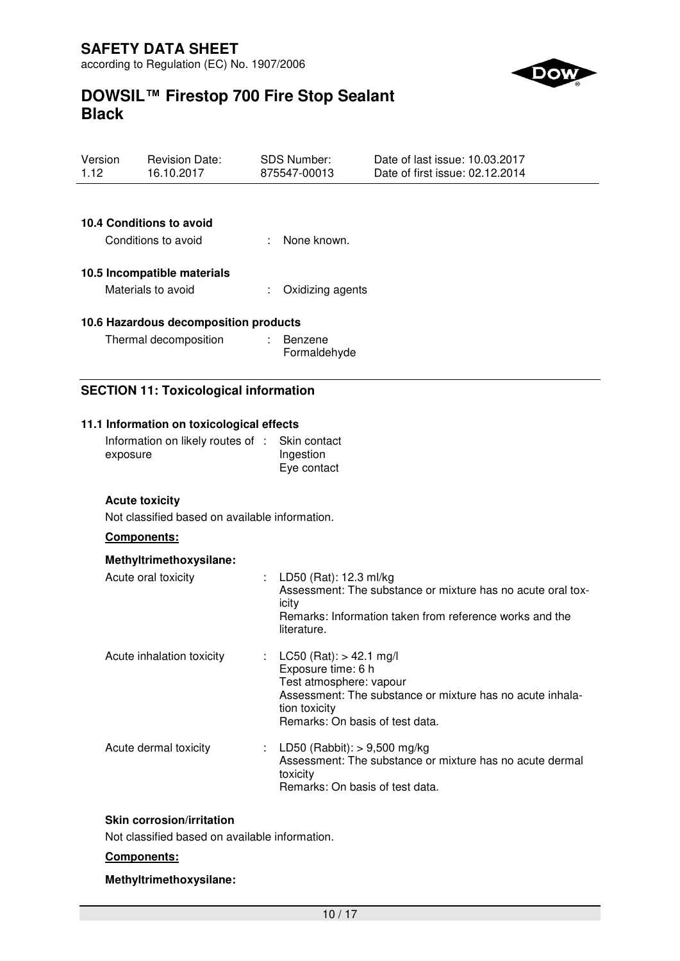

| Version<br>1.12 |             | <b>Revision Date:</b><br>16.10.2017                                                                                                                       |    | <b>SDS Number:</b><br>875547-00013                                                                                               | Date of last issue: 10.03.2017<br>Date of first issue: 02.12.2014                                                      |
|-----------------|-------------|-----------------------------------------------------------------------------------------------------------------------------------------------------------|----|----------------------------------------------------------------------------------------------------------------------------------|------------------------------------------------------------------------------------------------------------------------|
|                 |             | 10.4 Conditions to avoid<br>Conditions to avoid                                                                                                           |    | None known.                                                                                                                      |                                                                                                                        |
|                 |             | 10.5 Incompatible materials<br>Materials to avoid                                                                                                         |    | Oxidizing agents                                                                                                                 |                                                                                                                        |
|                 |             | 10.6 Hazardous decomposition products<br>Thermal decomposition                                                                                            | t. | Benzene<br>Formaldehyde                                                                                                          |                                                                                                                        |
|                 |             | <b>SECTION 11: Toxicological information</b>                                                                                                              |    |                                                                                                                                  |                                                                                                                        |
|                 | exposure    | 11.1 Information on toxicological effects<br>Information on likely routes of :<br><b>Acute toxicity</b><br>Not classified based on available information. |    | Skin contact<br>Ingestion<br>Eye contact                                                                                         |                                                                                                                        |
|                 | Components: |                                                                                                                                                           |    |                                                                                                                                  |                                                                                                                        |
|                 |             | Methyltrimethoxysilane:<br>Acute oral toxicity                                                                                                            |    | LD50 (Rat): 12.3 ml/kg<br>icity<br>literature.                                                                                   | Assessment: The substance or mixture has no acute oral tox-<br>Remarks: Information taken from reference works and the |
|                 |             | Acute inhalation toxicity                                                                                                                                 |    | : LC50 (Rat): $> 42.1$ mg/l<br>Exposure time: 6 h<br>Test atmosphere: vapour<br>tion toxicity<br>Remarks: On basis of test data. | Assessment: The substance or mixture has no acute inhala-                                                              |
|                 |             | Acute dermal toxicity                                                                                                                                     |    | LD50 (Rabbit): $> 9,500$ mg/kg<br>toxicity<br>Remarks: On basis of test data.                                                    | Assessment: The substance or mixture has no acute dermal                                                               |
|                 |             | Skin corrosion/irritation                                                                                                                                 |    |                                                                                                                                  |                                                                                                                        |

Not classified based on available information.

# **Components:**

### **Methyltrimethoxysilane:**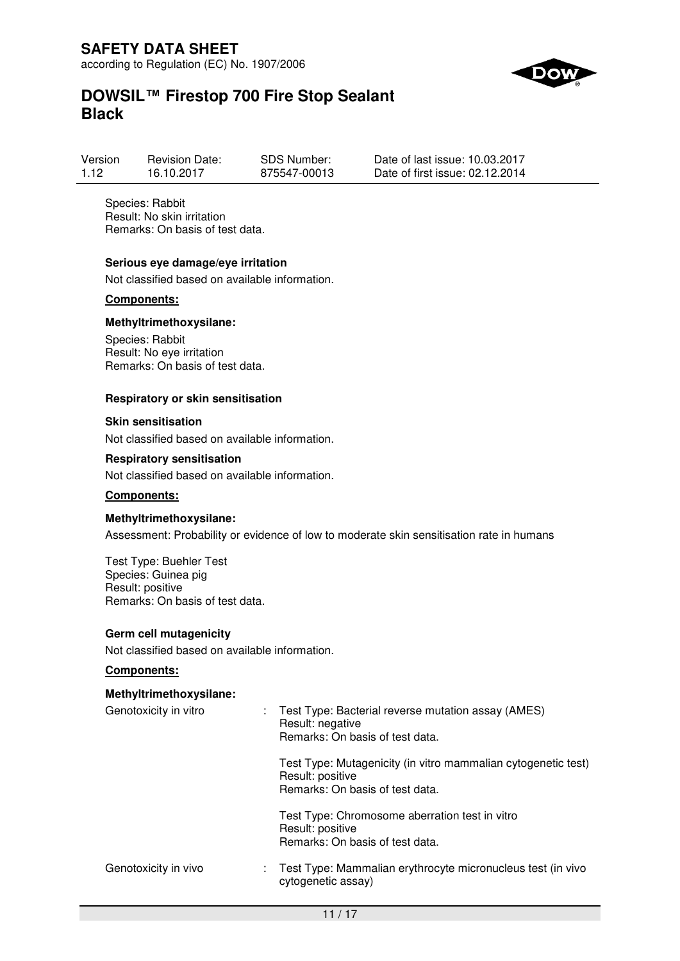

| Version | <b>Revision Date:</b> | <b>SDS Number:</b> | Date of last issue: 10.03.2017  |
|---------|-----------------------|--------------------|---------------------------------|
| 1.12    | 16.10.2017            | 875547-00013       | Date of first issue: 02.12.2014 |

Species: Rabbit Result: No skin irritation Remarks: On basis of test data.

#### **Serious eye damage/eye irritation**

Not classified based on available information.

#### **Components:**

#### **Methyltrimethoxysilane:**

Species: Rabbit Result: No eye irritation Remarks: On basis of test data.

#### **Respiratory or skin sensitisation**

#### **Skin sensitisation**

Not classified based on available information.

### **Respiratory sensitisation**

Not classified based on available information.

#### **Components:**

#### **Methyltrimethoxysilane:**

Assessment: Probability or evidence of low to moderate skin sensitisation rate in humans

Test Type: Buehler Test Species: Guinea pig Result: positive Remarks: On basis of test data.

#### **Germ cell mutagenicity**

Not classified based on available information.

#### **Components:**

#### **Methyltrimethoxysilane:**

| Genotoxicity in vitro | t. | Test Type: Bacterial reverse mutation assay (AMES)<br>Result: negative<br>Remarks: On basis of test data.            |  |  |  |
|-----------------------|----|----------------------------------------------------------------------------------------------------------------------|--|--|--|
|                       |    | Test Type: Mutagenicity (in vitro mammalian cytogenetic test)<br>Result: positive<br>Remarks: On basis of test data. |  |  |  |
|                       |    | Test Type: Chromosome aberration test in vitro<br>Result: positive<br>Remarks: On basis of test data.                |  |  |  |
| Genotoxicity in vivo  |    | : Test Type: Mammalian erythrocyte micronucleus test (in vivo<br>cytogenetic assay)                                  |  |  |  |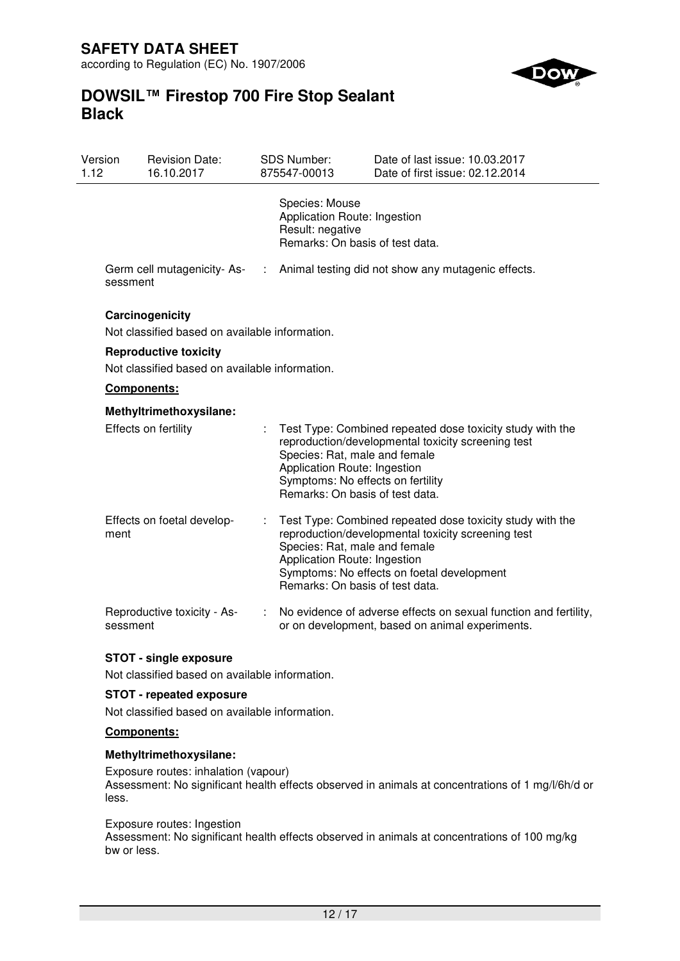

# **DOWSIL™ Firestop 700 Fire Stop Sealant Black**

| Version<br>1.12 | <b>Revision Date:</b><br>16.10.2017                                            |    | SDS Number:<br>875547-00013                                                                                                           | Date of last issue: 10.03.2017<br>Date of first issue: 02.12.2014                                                                                             |  |  |
|-----------------|--------------------------------------------------------------------------------|----|---------------------------------------------------------------------------------------------------------------------------------------|---------------------------------------------------------------------------------------------------------------------------------------------------------------|--|--|
|                 |                                                                                |    | Species: Mouse<br>Application Route: Ingestion<br>Result: negative<br>Remarks: On basis of test data.                                 |                                                                                                                                                               |  |  |
| sessment        | Germ cell mutagenicity-As-                                                     | ÷. |                                                                                                                                       | Animal testing did not show any mutagenic effects.                                                                                                            |  |  |
|                 | Carcinogenicity<br>Not classified based on available information.              |    |                                                                                                                                       |                                                                                                                                                               |  |  |
|                 | <b>Reproductive toxicity</b><br>Not classified based on available information. |    |                                                                                                                                       |                                                                                                                                                               |  |  |
|                 | Components:                                                                    |    |                                                                                                                                       |                                                                                                                                                               |  |  |
|                 | Methyltrimethoxysilane:                                                        |    |                                                                                                                                       |                                                                                                                                                               |  |  |
|                 | Effects on fertility                                                           | ÷. | Species: Rat, male and female<br>Application Route: Ingestion<br>Symptoms: No effects on fertility<br>Remarks: On basis of test data. | Test Type: Combined repeated dose toxicity study with the<br>reproduction/developmental toxicity screening test                                               |  |  |
| ment            | Effects on foetal develop-                                                     |    | Species: Rat, male and female<br>Application Route: Ingestion<br>Remarks: On basis of test data.                                      | Test Type: Combined repeated dose toxicity study with the<br>reproduction/developmental toxicity screening test<br>Symptoms: No effects on foetal development |  |  |
| sessment        | Reproductive toxicity - As-                                                    |    |                                                                                                                                       | No evidence of adverse effects on sexual function and fertility,<br>or on development, based on animal experiments.                                           |  |  |

# **STOT - single exposure**

Not classified based on available information.

# **STOT - repeated exposure**

Not classified based on available information.

# **Components:**

### **Methyltrimethoxysilane:**

Exposure routes: inhalation (vapour) Assessment: No significant health effects observed in animals at concentrations of 1 mg/l/6h/d or less.

### Exposure routes: Ingestion

Assessment: No significant health effects observed in animals at concentrations of 100 mg/kg bw or less.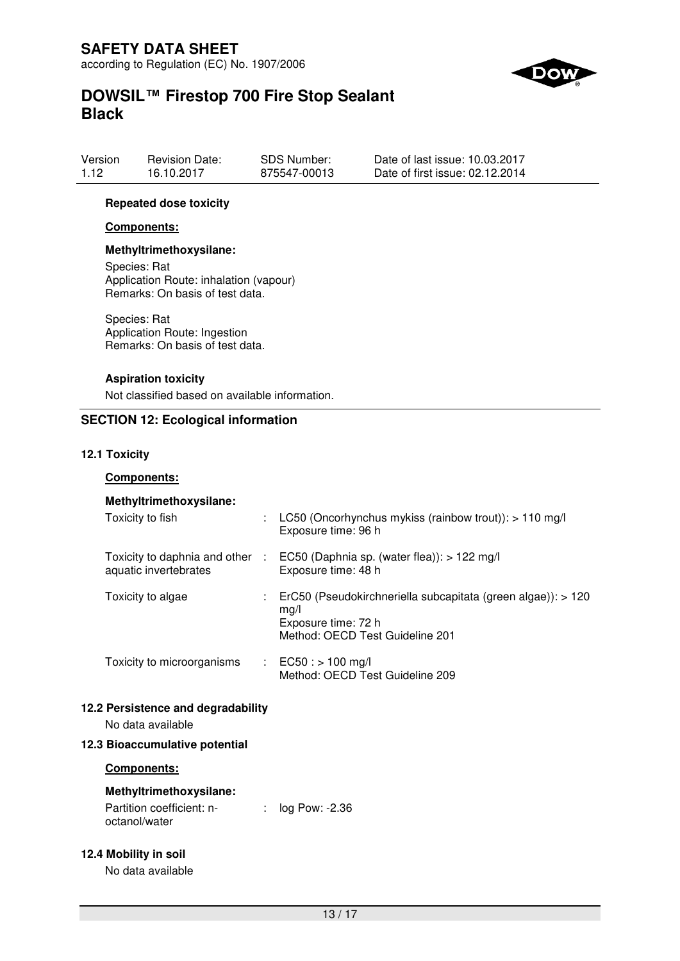

| Version | <b>Revision Date:</b> | SDS Number:  | Date of last issue: 10.03.2017  |
|---------|-----------------------|--------------|---------------------------------|
| 1.12    | 16.10.2017            | 875547-00013 | Date of first issue: 02.12.2014 |

#### **Repeated dose toxicity**

#### **Components:**

# **Methyltrimethoxysilane:**

Species: Rat Application Route: inhalation (vapour) Remarks: On basis of test data.

Species: Rat Application Route: Ingestion Remarks: On basis of test data.

#### **Aspiration toxicity**

Not classified based on available information.

### **SECTION 12: Ecological information**

#### **12.1 Toxicity**

#### **Components:**

### **Methyltrimethoxysilane:**

| Toxicity to fish                                         | LC50 (Oncorhynchus mykiss (rainbow trout)): $> 110$ mg/l<br>Exposure time: 96 h                                                   |
|----------------------------------------------------------|-----------------------------------------------------------------------------------------------------------------------------------|
| Toxicity to daphnia and other :<br>aquatic invertebrates | EC50 (Daphnia sp. (water flea)): $> 122$ mg/l<br>Exposure time: 48 h                                                              |
| Toxicity to algae                                        | : ErC50 (Pseudokirchneriella subcapitata (green algae)): $>120$<br>mg/l<br>Exposure time: 72 h<br>Method: OECD Test Guideline 201 |
| Toxicity to microorganisms                               | : $EC50:$ > 100 mg/l<br>Method: OECD Test Guideline 209                                                                           |

#### **12.2 Persistence and degradability**

No data available

### **12.3 Bioaccumulative potential**

### **Components:**

### **Methyltrimethoxysilane:**

Partition coefficient: noctanol/water : log Pow: -2.36

### **12.4 Mobility in soil**

No data available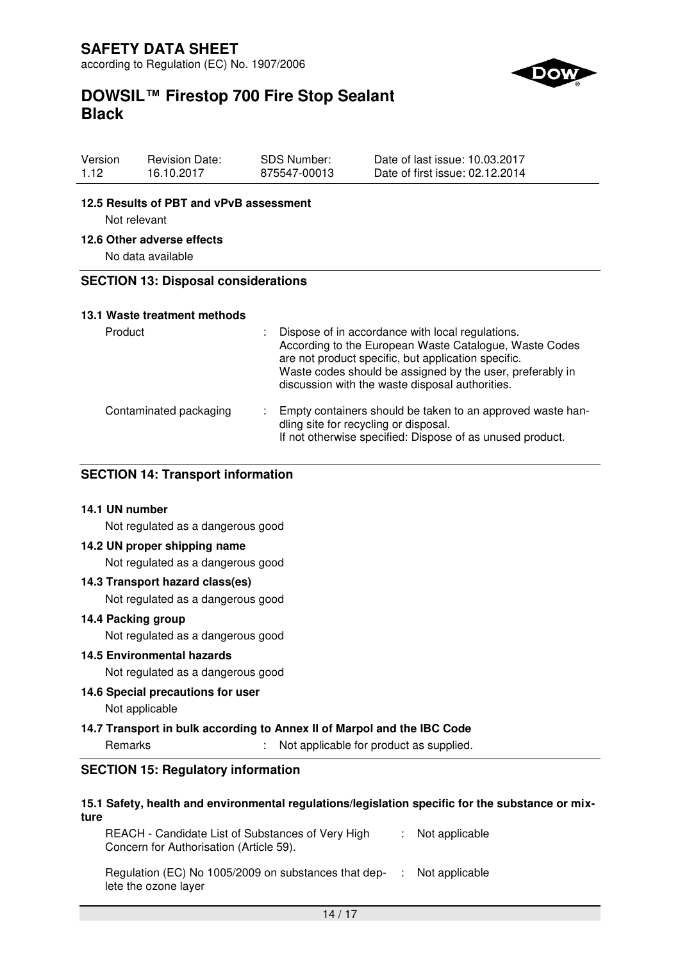

| Version | <b>Revision Date:</b> | SDS Number:  | Date of last issue: 10.03.2017  |
|---------|-----------------------|--------------|---------------------------------|
| 1.12    | 16.10.2017            | 875547-00013 | Date of first issue: 02.12.2014 |

#### **12.5 Results of PBT and vPvB assessment**

Not relevant

#### **12.6 Other adverse effects**

No data available

#### **SECTION 13: Disposal considerations**

#### **13.1 Waste treatment methods**

| Product                | Dispose of in accordance with local regulations.<br>According to the European Waste Catalogue, Waste Codes<br>are not product specific, but application specific.<br>Waste codes should be assigned by the user, preferably in<br>discussion with the waste disposal authorities. |
|------------------------|-----------------------------------------------------------------------------------------------------------------------------------------------------------------------------------------------------------------------------------------------------------------------------------|
| Contaminated packaging | Empty containers should be taken to an approved waste han-<br>dling site for recycling or disposal.<br>If not otherwise specified: Dispose of as unused product.                                                                                                                  |

### **SECTION 14: Transport information**

#### **14.1 UN number**

Not regulated as a dangerous good

#### **14.2 UN proper shipping name**

Not regulated as a dangerous good

#### **14.3 Transport hazard class(es)**

Not regulated as a dangerous good

#### **14.4 Packing group**

Not regulated as a dangerous good

#### **14.5 Environmental hazards**

Not regulated as a dangerous good

#### **14.6 Special precautions for user**

Not applicable

#### **14.7 Transport in bulk according to Annex II of Marpol and the IBC Code**

Remarks : Not applicable for product as supplied.

# **SECTION 15: Regulatory information**

#### **15.1 Safety, health and environmental regulations/legislation specific for the substance or mixture**

REACH - Candidate List of Substances of Very High Concern for Authorisation (Article 59). : Not applicable

Regulation (EC) No 1005/2009 on substances that dep- : Not applicable lete the ozone layer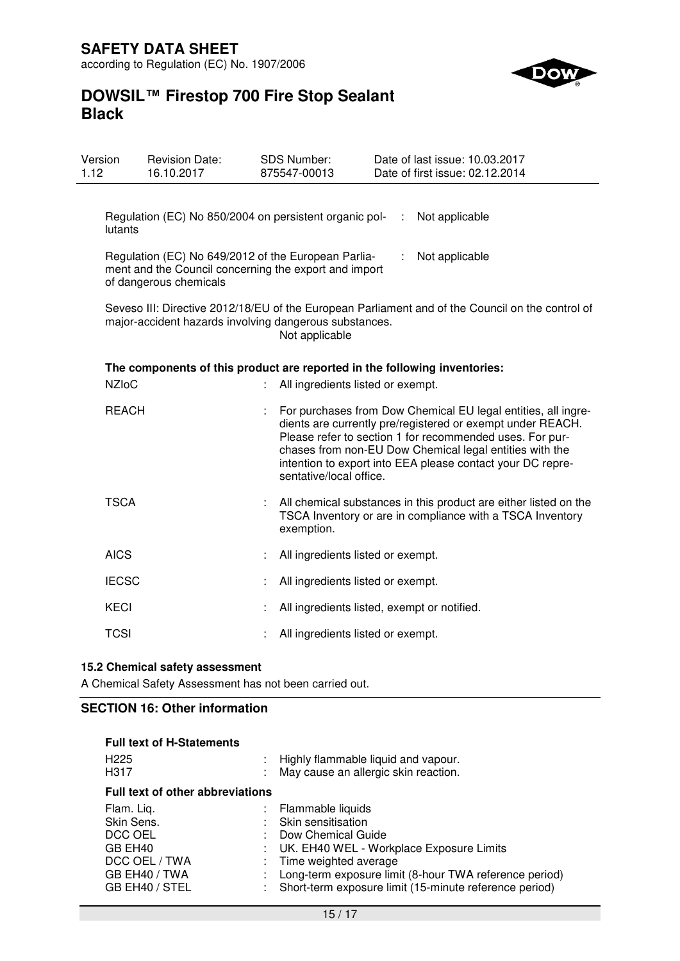

| Version<br>1.12                                                                                                                                                              |              | <b>Revision Date:</b><br>16.10.2017                                                                                                    |    | SDS Number:<br>875547-00013                 |                | Date of last issue: 10.03.2017<br>Date of first issue: 02.12.2014                                                                                                                                                                                                                                                |
|------------------------------------------------------------------------------------------------------------------------------------------------------------------------------|--------------|----------------------------------------------------------------------------------------------------------------------------------------|----|---------------------------------------------|----------------|------------------------------------------------------------------------------------------------------------------------------------------------------------------------------------------------------------------------------------------------------------------------------------------------------------------|
|                                                                                                                                                                              | lutants      | Regulation (EC) No 850/2004 on persistent organic pol-                                                                                 |    |                                             | $\mathbb{R}^n$ | Not applicable                                                                                                                                                                                                                                                                                                   |
|                                                                                                                                                                              |              | Regulation (EC) No 649/2012 of the European Parlia-<br>ment and the Council concerning the export and import<br>of dangerous chemicals |    |                                             |                | Not applicable                                                                                                                                                                                                                                                                                                   |
| Seveso III: Directive 2012/18/EU of the European Parliament and of the Council on the control of<br>major-accident hazards involving dangerous substances.<br>Not applicable |              |                                                                                                                                        |    |                                             |                |                                                                                                                                                                                                                                                                                                                  |
|                                                                                                                                                                              | <b>NZIoC</b> | The components of this product are reported in the following inventories:                                                              | t. | All ingredients listed or exempt.           |                |                                                                                                                                                                                                                                                                                                                  |
|                                                                                                                                                                              | <b>REACH</b> |                                                                                                                                        |    | sentative/local office.                     |                | For purchases from Dow Chemical EU legal entities, all ingre-<br>dients are currently pre/registered or exempt under REACH.<br>Please refer to section 1 for recommended uses. For pur-<br>chases from non-EU Dow Chemical legal entities with the<br>intention to export into EEA please contact your DC repre- |
|                                                                                                                                                                              | <b>TSCA</b>  |                                                                                                                                        |    | exemption.                                  |                | All chemical substances in this product are either listed on the<br>TSCA Inventory or are in compliance with a TSCA Inventory                                                                                                                                                                                    |
|                                                                                                                                                                              | <b>AICS</b>  |                                                                                                                                        |    | All ingredients listed or exempt.           |                |                                                                                                                                                                                                                                                                                                                  |
|                                                                                                                                                                              | <b>IECSC</b> |                                                                                                                                        |    | All ingredients listed or exempt.           |                |                                                                                                                                                                                                                                                                                                                  |
|                                                                                                                                                                              | <b>KECI</b>  |                                                                                                                                        |    | All ingredients listed, exempt or notified. |                |                                                                                                                                                                                                                                                                                                                  |
|                                                                                                                                                                              | <b>TCSI</b>  |                                                                                                                                        |    | All ingredients listed or exempt.           |                |                                                                                                                                                                                                                                                                                                                  |

# **15.2 Chemical safety assessment**

A Chemical Safety Assessment has not been carried out.

# **SECTION 16: Other information**

| <b>Full text of H-Statements</b><br>H <sub>225</sub><br>H317                                       |  | : Highly flammable liquid and vapour.<br>May cause an allergic skin reaction.                                                                                                                                                                            |  |  |  |  |
|----------------------------------------------------------------------------------------------------|--|----------------------------------------------------------------------------------------------------------------------------------------------------------------------------------------------------------------------------------------------------------|--|--|--|--|
| <b>Full text of other abbreviations</b>                                                            |  |                                                                                                                                                                                                                                                          |  |  |  |  |
| Flam. Liq.<br>Skin Sens.<br>DCC OEL<br>GB EH40<br>DCC OEL / TWA<br>GB EH40 / TWA<br>GB EH40 / STEL |  | : Flammable liquids<br>Skin sensitisation<br>Dow Chemical Guide<br>UK. EH40 WEL - Workplace Exposure Limits<br>Time weighted average<br>Long-term exposure limit (8-hour TWA reference period)<br>Short-term exposure limit (15-minute reference period) |  |  |  |  |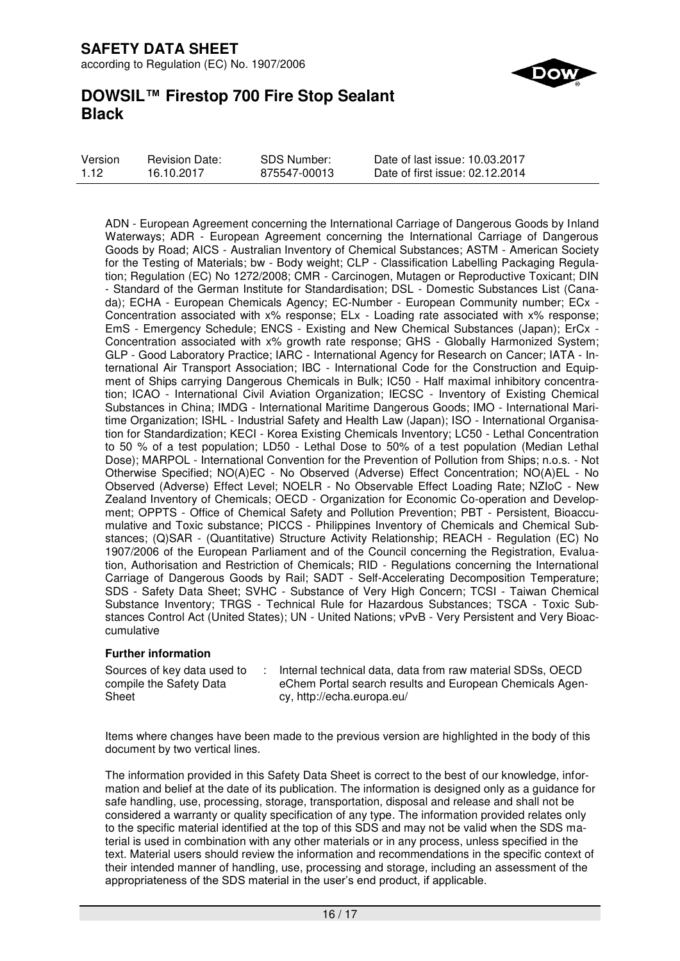

| Version | <b>Revision Date:</b> | <b>SDS Number:</b> | Date of last issue: 10.03.2017  |
|---------|-----------------------|--------------------|---------------------------------|
| 1.12    | 16.10.2017            | 875547-00013       | Date of first issue: 02.12.2014 |

ADN - European Agreement concerning the International Carriage of Dangerous Goods by Inland Waterways; ADR - European Agreement concerning the International Carriage of Dangerous Goods by Road; AICS - Australian Inventory of Chemical Substances; ASTM - American Society for the Testing of Materials; bw - Body weight; CLP - Classification Labelling Packaging Regulation; Regulation (EC) No 1272/2008; CMR - Carcinogen, Mutagen or Reproductive Toxicant; DIN - Standard of the German Institute for Standardisation; DSL - Domestic Substances List (Canada); ECHA - European Chemicals Agency; EC-Number - European Community number; ECx - Concentration associated with x% response; ELx - Loading rate associated with x% response; EmS - Emergency Schedule; ENCS - Existing and New Chemical Substances (Japan); ErCx - Concentration associated with x% growth rate response; GHS - Globally Harmonized System; GLP - Good Laboratory Practice; IARC - International Agency for Research on Cancer; IATA - International Air Transport Association; IBC - International Code for the Construction and Equipment of Ships carrying Dangerous Chemicals in Bulk; IC50 - Half maximal inhibitory concentration; ICAO - International Civil Aviation Organization; IECSC - Inventory of Existing Chemical Substances in China; IMDG - International Maritime Dangerous Goods; IMO - International Maritime Organization; ISHL - Industrial Safety and Health Law (Japan); ISO - International Organisation for Standardization; KECI - Korea Existing Chemicals Inventory; LC50 - Lethal Concentration to 50 % of a test population; LD50 - Lethal Dose to 50% of a test population (Median Lethal Dose); MARPOL - International Convention for the Prevention of Pollution from Ships; n.o.s. - Not Otherwise Specified; NO(A)EC - No Observed (Adverse) Effect Concentration; NO(A)EL - No Observed (Adverse) Effect Level; NOELR - No Observable Effect Loading Rate; NZIoC - New Zealand Inventory of Chemicals; OECD - Organization for Economic Co-operation and Development; OPPTS - Office of Chemical Safety and Pollution Prevention; PBT - Persistent, Bioaccumulative and Toxic substance; PICCS - Philippines Inventory of Chemicals and Chemical Substances; (Q)SAR - (Quantitative) Structure Activity Relationship; REACH - Regulation (EC) No 1907/2006 of the European Parliament and of the Council concerning the Registration, Evaluation, Authorisation and Restriction of Chemicals; RID - Regulations concerning the International Carriage of Dangerous Goods by Rail; SADT - Self-Accelerating Decomposition Temperature; SDS - Safety Data Sheet; SVHC - Substance of Very High Concern; TCSI - Taiwan Chemical Substance Inventory; TRGS - Technical Rule for Hazardous Substances; TSCA - Toxic Substances Control Act (United States); UN - United Nations; vPvB - Very Persistent and Very Bioaccumulative

#### **Further information**

Sources of key data used to compile the Safety Data Sheet : Internal technical data, data from raw material SDSs, OECD eChem Portal search results and European Chemicals Agency, http://echa.europa.eu/

Items where changes have been made to the previous version are highlighted in the body of this document by two vertical lines.

The information provided in this Safety Data Sheet is correct to the best of our knowledge, information and belief at the date of its publication. The information is designed only as a guidance for safe handling, use, processing, storage, transportation, disposal and release and shall not be considered a warranty or quality specification of any type. The information provided relates only to the specific material identified at the top of this SDS and may not be valid when the SDS material is used in combination with any other materials or in any process, unless specified in the text. Material users should review the information and recommendations in the specific context of their intended manner of handling, use, processing and storage, including an assessment of the appropriateness of the SDS material in the user's end product, if applicable.